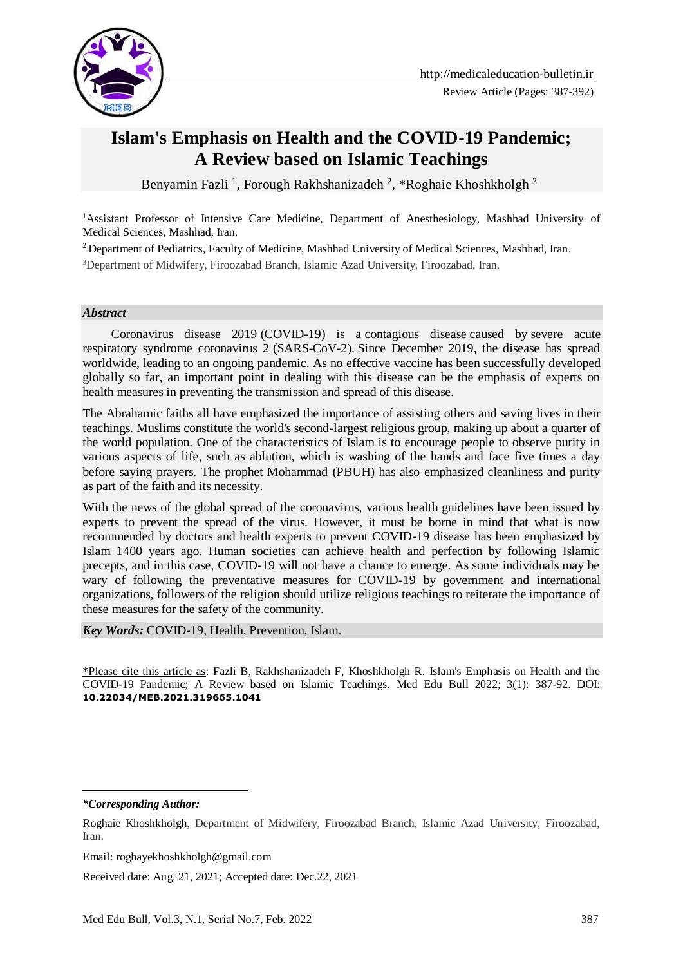

# **Islam's Emphasis on Health and the COVID-19 Pandemic; A Review based on Islamic Teachings**

Benyamin Fazli <sup>1</sup>, Forough Rakhshanizadeh <sup>2</sup>, \*Roghaie Khoshkholgh <sup>3</sup>

<sup>1</sup>Assistant Professor of Intensive Care Medicine, Department of Anesthesiology, Mashhad University of Medical Sciences, Mashhad, Iran.

<sup>2</sup> Department of Pediatrics, Faculty of Medicine, Mashhad University of Medical Sciences, Mashhad, Iran.

<sup>3</sup>Department of Midwifery, Firoozabad Branch, Islamic Azad University, Firoozabad, Iran.

#### *Abstract*

 Coronavirus disease 2019 (COVID-19) is a contagious disease caused by severe acute respiratory syndrome coronavirus 2 (SARS-CoV-2). Since December 2019, the disease has spread worldwide, leading to an ongoing pandemic. As no effective vaccine has been successfully developed globally so far, an important point in dealing with this disease can be the emphasis of experts on health measures in preventing the transmission and spread of this disease.

The Abrahamic faiths all have emphasized the importance of assisting others and saving lives in their teachings. Muslims constitute the world's second-largest religious group, making up about a quarter of the world population. One of the characteristics of Islam is to encourage people to observe purity in various aspects of life, such as ablution, which is washing of the hands and face five times a day before saying prayers. The prophet Mohammad (PBUH) has also emphasized cleanliness and purity as part of the faith and its necessity.

With the news of the global spread of the coronavirus, various health guidelines have been issued by experts to prevent the spread of the virus. However, it must be borne in mind that what is now recommended by doctors and health experts to prevent COVID-19 disease has been emphasized by Islam 1400 years ago. Human societies can achieve health and perfection by following Islamic precepts, and in this case, COVID-19 will not have a chance to emerge. As some individuals may be wary of following the preventative measures for COVID-19 by government and international organizations, followers of the religion should utilize religious teachings to reiterate the importance of these measures for the safety of the community.

*Key Words:* COVID-19, Health, Prevention, Islam.

\*Please cite this article as: Fazli B, Rakhshanizadeh F, Khoshkholgh R. Islam's Emphasis on Health and the COVID-19 Pandemic; A Review based on Islamic Teachings. Med Edu Bull 2022; 3(1): 387-92. DOI: **10.22034/MEB.2021.319665.1041**

<u>.</u>

Email: roghayekhoshkholgh@gmail.com

Received date: Aug. 21, 2021; Accepted date: Dec.22, 2021

*<sup>\*</sup>Corresponding Author:*

Roghaie Khoshkholgh, Department of Midwifery, Firoozabad Branch, Islamic Azad University, Firoozabad, Iran.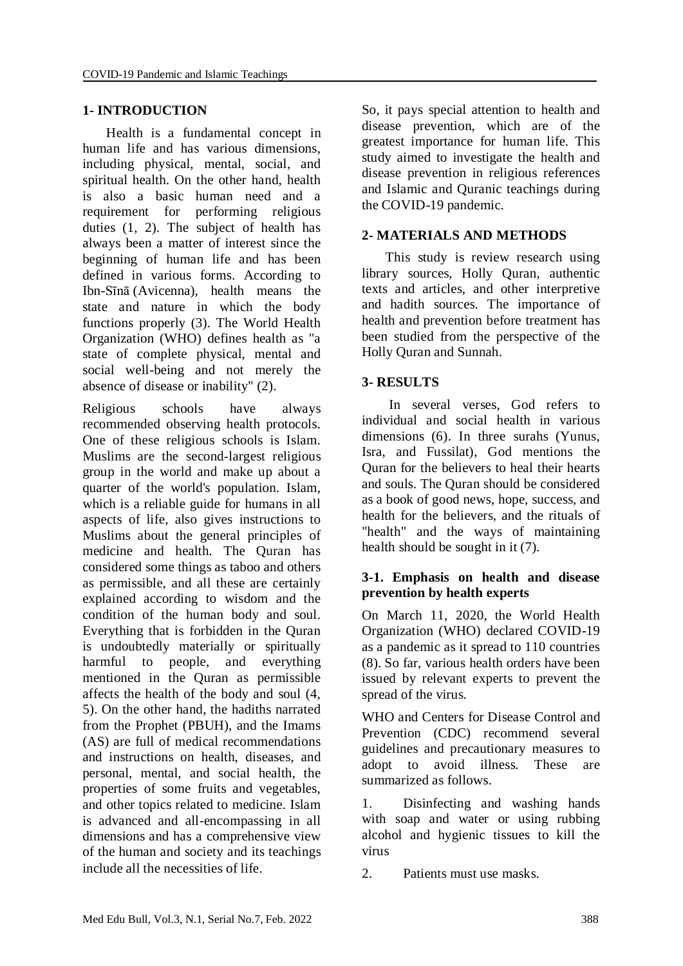### **1- INTRODUCTION**

 Health is a fundamental concept in human life and has various dimensions, including physical, mental, social, and spiritual health. On the other hand, health is also a basic human need and a requirement for performing religious duties (1, 2). The subject of health has always been a matter of interest since the beginning of human life and has been defined in various forms. According to Ibn-Sīnā (Avicenna), health means the state and nature in which the body functions properly (3). The World Health Organization (WHO) defines health as "a state of complete physical, mental and social well-being and not merely the absence of disease or inability" (2).

Religious schools have always recommended observing health protocols. One of these religious schools is Islam. Muslims are the second-largest religious group in the world and make up about a quarter of the world's population. Islam, which is a reliable guide for humans in all aspects of life, also gives instructions to Muslims about the general principles of medicine and health. The Quran has considered some things as taboo and others as permissible, and all these are certainly explained according to wisdom and the condition of the human body and soul. Everything that is forbidden in the Quran is undoubtedly materially or spiritually harmful to people, and everything mentioned in the Quran as permissible affects the health of the body and soul (4, 5). On the other hand, the hadiths narrated from the Prophet (PBUH), and the Imams (AS) are full of medical recommendations and instructions on health, diseases, and personal, mental, and social health, the properties of some fruits and vegetables, and other topics related to medicine. Islam is advanced and all-encompassing in all dimensions and has a comprehensive view of the human and society and its teachings include all the necessities of life.

So, it pays special attention to health and disease prevention, which are of the greatest importance for human life. This study aimed to investigate the health and disease prevention in religious references and Islamic and Quranic teachings during the COVID-19 pandemic.

### **2- MATERIALS AND METHODS**

 This study is review research using library sources, Holly Quran, authentic texts and articles, and other interpretive and hadith sources. The importance of health and prevention before treatment has been studied from the perspective of the Holly Quran and Sunnah.

### **3- RESULTS**

 In several verses, God refers to individual and social health in various dimensions (6). In three surahs (Yunus, Isra, and Fussilat), God mentions the Quran for the believers to heal their hearts and souls. The Quran should be considered as a book of good news, hope, success, and health for the believers, and the rituals of "health" and the ways of maintaining health should be sought in it (7).

### **3-1. Emphasis on health and disease prevention by health experts**

On March 11, 2020, the World Health Organization (WHO) declared COVID-19 as a pandemic as it spread to 110 countries (8). So far, various health orders have been issued by relevant experts to prevent the spread of the virus.

WHO and Centers for Disease Control and Prevention (CDC) recommend several guidelines and precautionary measures to adopt to avoid illness. These are summarized as follows.

1. Disinfecting and washing hands with soap and water or using rubbing alcohol and hygienic tissues to kill the virus

2. Patients must use masks.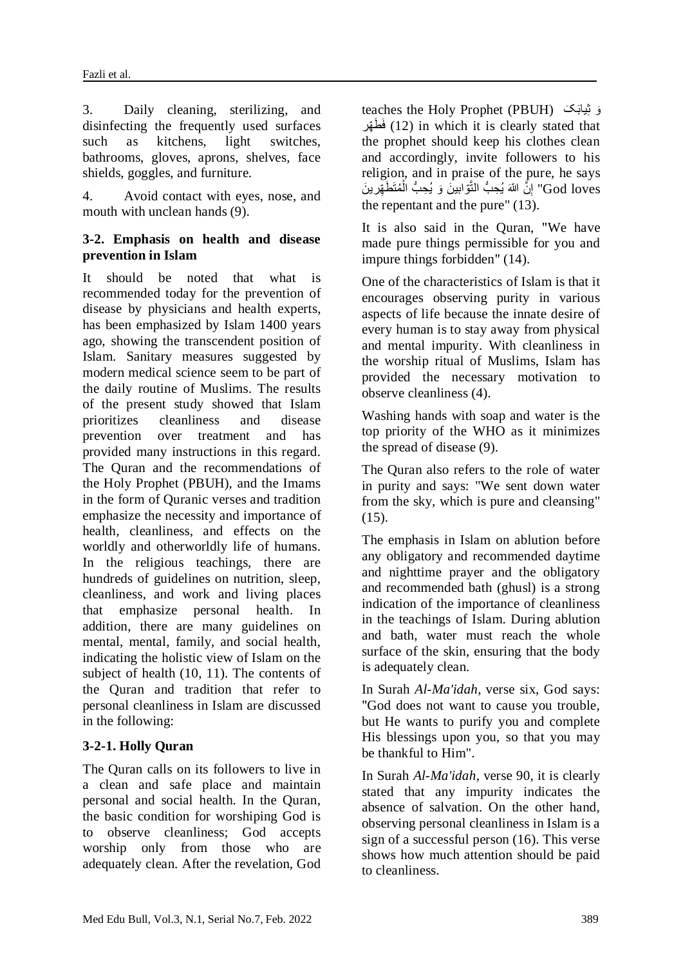3. Daily cleaning, sterilizing, and disinfecting the frequently used surfaces such as kitchens, light switches, bathrooms, gloves, aprons, shelves, face shields, goggles, and furniture.

4. Avoid contact with eyes, nose, and mouth with unclean hands (9).

### **3-2. Emphasis on health and disease prevention in Islam**

It should be noted that what is recommended today for the prevention of disease by physicians and health experts, has been emphasized by Islam 1400 years ago, showing the transcendent position of Islam. Sanitary measures suggested by modern medical science seem to be part of the daily routine of Muslims. The results of the present study showed that Islam prioritizes cleanliness and disease prevention over treatment and has provided many instructions in this regard. The Quran and the recommendations of the Holy Prophet (PBUH), and the Imams in the form of Quranic verses and tradition emphasize the necessity and importance of health, cleanliness, and effects on the worldly and otherworldly life of humans. In the religious teachings, there are hundreds of guidelines on nutrition, sleep, cleanliness, and work and living places that emphasize personal health. In addition, there are many guidelines on mental, mental, family, and social health, indicating the holistic view of Islam on the subject of health (10, 11). The contents of the Quran and tradition that refer to personal cleanliness in Islam are discussed in the following:

# **3-2-1. Holly Quran**

The Quran calls on its followers to live in a clean and safe place and maintain personal and social health. In the Quran, the basic condition for worshiping God is to observe cleanliness; God accepts worship only from those who are adequately clean. After the revelation, God teaches the Holy Prophet (PBUH) کَ َیابِث وَ فَظَهّر (12) in which it is clearly stated that the prophet should keep his clothes clean and accordingly, invite followers to his religion, and in praise of the pure, he says God loves" إِنَّ اللّهَ يُحِبُّ النَّوِّابِينَ وَ يُحِبُّ الْمُتَطَهِّرِينَ ْ ِ the repentant and the pure" (13).

It is also said in the Quran, "We have made pure things permissible for you and impure things forbidden" (14).

One of the characteristics of Islam is that it encourages observing purity in various aspects of life because the innate desire of every human is to stay away from physical and mental impurity. With cleanliness in the worship ritual of Muslims, Islam has provided the necessary motivation to observe cleanliness (4).

Washing hands with soap and water is the top priority of the WHO as it minimizes the spread of disease (9).

The Quran also refers to the role of water in purity and says: "We sent down water from the sky, which is pure and cleansing" (15).

The emphasis in Islam on ablution before any obligatory and recommended daytime and nighttime prayer and the obligatory and recommended bath (ghusl) is a strong indication of the importance of cleanliness in the teachings of Islam. During ablution and bath, water must reach the whole surface of the skin, ensuring that the body is adequately clean.

In Surah *Al-Ma'idah*, verse six, God says: "God does not want to cause you trouble, but He wants to purify you and complete His blessings upon you, so that you may be thankful to Him".

In Surah *Al-Ma'idah*, verse 90, it is clearly stated that any impurity indicates the absence of salvation. On the other hand, observing personal cleanliness in Islam is a sign of a successful person (16). This verse shows how much attention should be paid to cleanliness.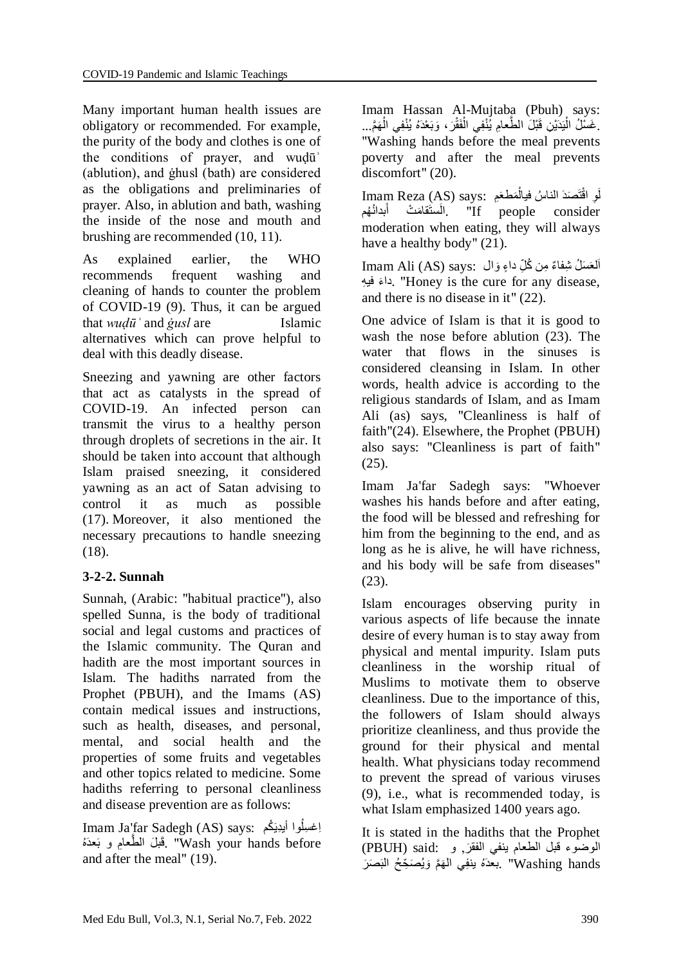Many important human health issues are obligatory or recommended. For example, the purity of the body and clothes is one of the conditions of prayer, and wuḍūʾ (ablution), and ġhusl (bath) are considered as the obligations and preliminaries of prayer. Also, in ablution and bath, washing the inside of the nose and mouth and brushing are recommended (10, 11).

As explained earlier, the WHO recommends frequent washing and cleaning of hands to counter the problem of COVID-19 (9). Thus, it can be argued that *wuḍūʾ* and *ġusl* are Islamic alternatives which can prove helpful to deal with this deadly disease.

Sneezing and yawning are other factors that act as catalysts in the spread of COVID-19. An infected person can transmit the virus to a healthy person through droplets of secretions in the air. It should be taken into account that although Islam praised sneezing, it considered yawning as an act of Satan advising to control it as much as possible (17). Moreover, it also mentioned the necessary precautions to handle sneezing (18).

# **3-2-2. Sunnah**

Sunnah, (Arabic: "habitual practice"), also spelled Sunna, is the body of traditional social and legal customs and practices of the Islamic community. The Quran and hadith are the most important sources in Islam. The hadiths narrated from the Prophet (PBUH), and the Imams (AS) contain medical issues and instructions, such as health, diseases, and personal, mental, and social health and the properties of some fruits and vegetables and other topics related to medicine. Some hadiths referring to personal cleanliness and disease prevention are as follows:

Imam Ja'far Sadegh (AS) says: كمُ ُوا أیِدیَ ِاغ ِسل َفَبْلَ الطَّعامِ و بَعدَهُ». "Wash your hands before and after the meal" (19).

Imam Hassan Al-Mujtaba (Pbuh) says: ِ غَسْلُ الْيَدَيْنِ قَبْلَ الطَّعامِ يُّنْفِي الْفَقْرَ ، وَبَعْدَهُ يُذْفِي الْهَمَّ... :<br>با ْ ْ "Washing hands before the meal prevents poverty and after the meal prevents discomfort" (20).

لِ اقْتَصَدَ الناسُ فيالْمَطْعَمِ : Imam Reza (AS) says ْ لَ الستَقامَتْ أبدانُهُم" [f people consider"]. َ moderation when eating, they will always have a healthy body" (21).

lmam Ali (AS) says: أَلْعَسَلُ شِفاءٌ مِن كُلِّ داءٍ وَال َء فی ِه دا." Honey is the cure for any disease, and there is no disease in it" (22).

One advice of Islam is that it is good to wash the nose before ablution (23). The water that flows in the sinuses is considered cleansing in Islam. In other words, health advice is according to the religious standards of Islam, and as Imam Ali (as) says, "Cleanliness is half of faith"(24). Elsewhere, the Prophet (PBUH) also says: "Cleanliness is part of faith" (25).

Imam Ja'far Sadegh says: "Whoever washes his hands before and after eating, the food will be blessed and refreshing for him from the beginning to the end, and as long as he is alive, he will have richness, and his body will be safe from diseases" (23).

Islam encourages observing purity in various aspects of life because the innate desire of every human is to stay away from physical and mental impurity. Islam puts cleanliness in the worship ritual of Muslims to motivate them to observe cleanliness. Due to the importance of this, the followers of Islam should always prioritize cleanliness, and thus provide the ground for their physical and mental health. What physicians today recommend to prevent the spread of various viruses (9), i.e., what is recommended today, is what Islam emphasized 1400 years ago.

It is stated in the hadiths that the Prophet الوضوء قبل الطعام بنفي الفقرَ, و :PBUH) said) بعدَهُ ينْفِي الْهَمَّ وَيُصَحِّحُ الْبَصَرَ" Washing hands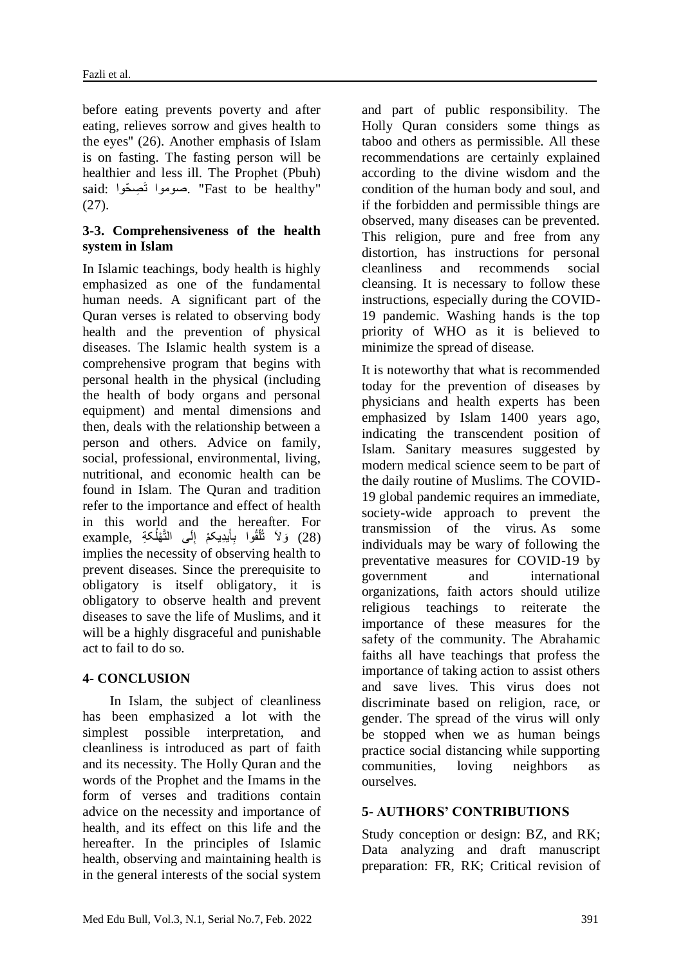before eating prevents poverty and after eating, relieves sorrow and gives health to the eyes" (26). Another emphasis of Islam is on fasting. The fasting person will be healthier and less ill. The Prophet (Pbuh) said: صوموا تَصِحّوا. "Fast to be healthy" (27).

## **3-3. Comprehensiveness of the health system in Islam**

In Islamic teachings, body health is highly emphasized as one of the fundamental human needs. A significant part of the Quran verses is related to observing body health and the prevention of physical diseases. The Islamic health system is a comprehensive program that begins with personal health in the physical (including the health of body organs and personal equipment) and mental dimensions and then, deals with the relationship between a person and others. Advice on family, social, professional, environmental, living, nutritional, and economic health can be found in Islam. The Quran and tradition refer to the importance and effect of health in this world and the hereafter. For example, بَالاً تُلْقُوا بِأَيدِيكمْ إِلَى التَّهْلُكةِ example ِ ْ ِ implies the necessity of observing health to prevent diseases. Since the prerequisite to obligatory is itself obligatory, it is obligatory to observe health and prevent diseases to save the life of Muslims, and it will be a highly disgraceful and punishable act to fail to do so.

### **4- CONCLUSION**

 In Islam, the subject of cleanliness has been emphasized a lot with the simplest possible interpretation, and cleanliness is introduced as part of faith and its necessity. The Holly Quran and the words of the Prophet and the Imams in the form of verses and traditions contain advice on the necessity and importance of health, and its effect on this life and the hereafter. In the principles of Islamic health, observing and maintaining health is in the general interests of the social system

and part of public responsibility. The Holly Quran considers some things as taboo and others as permissible. All these recommendations are certainly explained according to the divine wisdom and the condition of the human body and soul, and if the forbidden and permissible things are observed, many diseases can be prevented. This religion, pure and free from any distortion, has instructions for personal cleanliness and recommends social cleansing. It is necessary to follow these instructions, especially during the COVID-19 pandemic. Washing hands is the top priority of WHO as it is believed to minimize the spread of disease.

It is noteworthy that what is recommended today for the prevention of diseases by physicians and health experts has been emphasized by Islam 1400 years ago, indicating the transcendent position of Islam. Sanitary measures suggested by modern medical science seem to be part of the daily routine of Muslims. The COVID-19 global pandemic requires an immediate, society-wide approach to prevent the transmission of the virus. As some individuals may be wary of following the preventative measures for COVID-19 by government and international organizations, faith actors should utilize religious teachings to reiterate the importance of these measures for the safety of the community. The Abrahamic faiths all have teachings that profess the importance of taking action to assist others and save lives. This virus does not discriminate based on religion, race, or gender. The spread of the virus will only be stopped when we as human beings practice social distancing while supporting communities, loving neighbors as ourselves.

### **5- AUTHORS' CONTRIBUTIONS**

Study conception or design: BZ, and RK; Data analyzing and draft manuscript preparation: FR, RK; Critical revision of